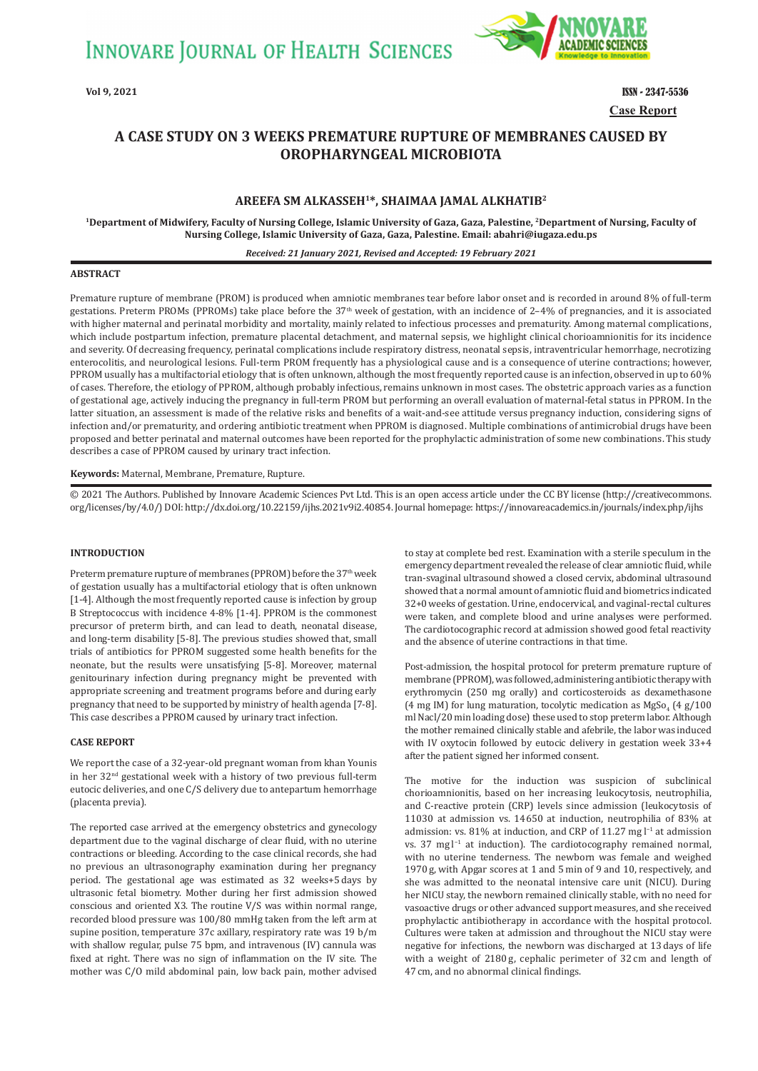

**Case Report Vol 9, 2021** ISSN - 2347-5536

# **A CASE STUDY ON 3 WEEKS PREMATURE RUPTURE OF MEMBRANES CAUSED BY OROPHARYNGEAL MICROBIOTA**

# **AREEFA SM ALKASSEH1\*, SHAIMAA JAMAL ALKHATIB2**

**1Department of Midwifery, Faculty of Nursing College, Islamic University of Gaza, Gaza, Palestine, 2Department of Nursing, Faculty of Nursing College, Islamic University of Gaza, Gaza, Palestine. Email: abahri@iugaza.edu.ps**

#### *Received: 21 January 2021, Revised and Accepted: 19 February 2021*

# **ABSTRACT**

Premature rupture of membrane (PROM) is produced when amniotic membranes tear before labor onset and is recorded in around 8 % of full-term gestations. Preterm PROMs (PPROMs) take place before the 37th week of gestation, with an incidence of 2–4 % of pregnancies, and it is associated with higher maternal and perinatal morbidity and mortality, mainly related to infectious processes and prematurity. Among maternal complications, which include postpartum infection, premature placental detachment, and maternal sepsis, we highlight clinical chorioamnionitis for its incidence and severity. Of decreasing frequency, perinatal complications include respiratory distress, neonatal sepsis, intraventricular hemorrhage, necrotizing enterocolitis, and neurological lesions. Full-term PROM frequently has a physiological cause and is a consequence of uterine contractions; however, PPROM usually has a multifactorial etiology that is often unknown, although the most frequently reported cause is an infection, observed in up to 60 % of cases. Therefore, the etiology of PPROM, although probably infectious, remains unknown in most cases. The obstetric approach varies as a function of gestational age, actively inducing the pregnancy in full-term PROM but performing an overall evaluation of maternal-fetal status in PPROM. In the latter situation, an assessment is made of the relative risks and benefits of a wait-and-see attitude versus pregnancy induction, considering signs of infection and/or prematurity, and ordering antibiotic treatment when PPROM is diagnosed. Multiple combinations of antimicrobial drugs have been proposed and better perinatal and maternal outcomes have been reported for the prophylactic administration of some new combinations. This study describes a case of PPROM caused by urinary tract infection.

#### **Keywords:** Maternal, Membrane, Premature, Rupture.

© 2021 The Authors. Published by Innovare Academic Sciences Pvt Ltd. This is an open access article under the CC BY license (http://creativecommons. org/licenses/by/4.0/) DOI: http://dx.doi.org/10.22159/ijhs.2021v9i2.40854. Journal homepage: https://innovareacademics.in/journals/index.php/ijhs

#### **INTRODUCTION**

Preterm premature rupture of membranes (PPROM) before the 37<sup>th</sup> week of gestation usually has a multifactorial etiology that is often unknown [1-4]. Although the most frequently reported cause is infection by group B Streptococcus with incidence 4-8% [1-4]. PPROM is the commonest precursor of preterm birth, and can lead to death, neonatal disease, and long-term disability [5-8]. The previous studies showed that, small trials of antibiotics for PPROM suggested some health benefits for the neonate, but the results were unsatisfying [5-8]. Moreover, maternal genitourinary infection during pregnancy might be prevented with appropriate screening and treatment programs before and during early pregnancy that need to be supported by ministry of health agenda [7-8]. This case describes a PPROM caused by urinary tract infection.

## **CASE REPORT**

We report the case of a 32-year-old pregnant woman from khan Younis in her 32nd gestational week with a history of two previous full-term eutocic deliveries, and one C/S delivery due to antepartum hemorrhage (placenta previa).

The reported case arrived at the emergency obstetrics and gynecology department due to the vaginal discharge of clear fluid, with no uterine contractions or bleeding. According to the case clinical records, she had no previous an ultrasonography examination during her pregnancy period. The gestational age was estimated as 32  weeks+5 days by ultrasonic fetal biometry. Mother during her first admission showed conscious and oriented X3. The routine V/S was within normal range, recorded blood pressure was 100/80 mmHg taken from the left arm at supine position, temperature 37c axillary, respiratory rate was 19 b/m with shallow regular, pulse 75 bpm, and intravenous (IV) cannula was fixed at right. There was no sign of inflammation on the IV site. The mother was C/O mild abdominal pain, low back pain, mother advised to stay at complete bed rest. Examination with a sterile speculum in the emergency department revealed the release of clear amniotic fluid, while tran-svaginal ultrasound showed a closed cervix, abdominal ultrasound showed that a normal amount of amniotic fluid and biometrics indicated 32+0 weeks of gestation. Urine, endocervical, and vaginal-rectal cultures were taken, and complete blood and urine analyses were performed. The cardiotocographic record at admission showed good fetal reactivity and the absence of uterine contractions in that time.

Post-admission, the hospital protocol for preterm premature rupture of membrane (PPROM), was followed, administering antibiotic therapy with erythromycin (250 mg orally) and corticosteroids as dexamethasone  $(4 \text{ mg IM})$  for lung maturation, tocolytic medication as MgSo<sub>4</sub>  $(4 \text{ g}/100 \text{ m})$ ml Nacl/20 min loading dose) these used to stop preterm labor. Although the mother remained clinically stable and afebrile, the labor was induced with IV oxytocin followed by eutocic delivery in gestation week 33+4 after the patient signed her informed consent.

The motive for the induction was suspicion of subclinical chorioamnionitis, based on her increasing leukocytosis, neutrophilia, and C-reactive protein (CRP) levels since admission (leukocytosis of 11 030 at admission vs. 14 650 at induction, neutrophilia of 83 % at admission: vs. 81 % at induction, and CRP of 11.27 mg l−1 at admission vs. 37 mg l−1 at induction). The cardiotocography remained normal, with no uterine tenderness. The newborn was female and weighed 1970 g, with Apgar scores at 1 and 5 min of 9 and 10, respectively, and she was admitted to the neonatal intensive care unit (NICU). During her NICU stay, the newborn remained clinically stable, with no need for vasoactive drugs or other advanced support measures, and she received prophylactic antibiotherapy in accordance with the hospital protocol. Cultures were taken at admission and throughout the NICU stay were negative for infections, the newborn was discharged at 13 days of life with a weight of 2180 g, cephalic perimeter of 32 cm and length of 47 cm, and no abnormal clinical findings.